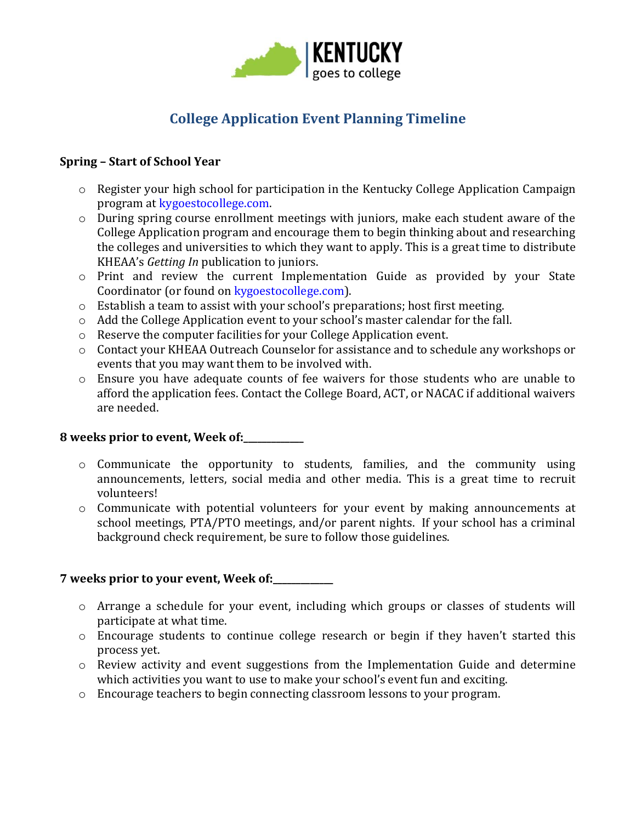

# **College Application Event Planning Timeline**

### **Spring – Start of School Year**

- o Register your high school for participation in the Kentucky College Application Campaign program at [kygoestocollege.com.](http://www.kygoestocollege.com/)
- o During spring course enrollment meetings with juniors, make each student aware of the College Application program and encourage them to begin thinking about and researching the colleges and universities to which they want to apply. This is a great time to distribute KHEAA's *Getting In* publication to juniors.
- o Print and review the current Implementation Guide as provided by your State Coordinator (or found on kygoestocollege.com).
- o Establish a team to assist with your school's preparations; host first meeting.
- o Add the College Application event to your school's master calendar for the fall.
- o Reserve the computer facilities for your College Application event.
- o Contact your KHEAA Outreach Counselor for assistance and to schedule any workshops or events that you may want them to be involved with.
- $\circ$  Ensure you have adequate counts of fee waivers for those students who are unable to afford the application fees. Contact the College Board, ACT, or NACAC if additional waivers are needed.

# **8 weeks prior to event, Week of:\_\_\_\_\_\_\_\_\_\_\_\_\_**

- o Communicate the opportunity to students, families, and the community using announcements, letters, social media and other media. This is a great time to recruit volunteers!
- o Communicate with potential volunteers for your event by making announcements at school meetings, PTA/PTO meetings, and/or parent nights. If your school has a criminal background check requirement, be sure to follow those guidelines.

# **7 weeks prior to your event, Week of:\_\_\_\_\_\_\_\_\_\_\_\_\_**

- o Arrange a schedule for your event, including which groups or classes of students will participate at what time.
- o Encourage students to continue college research or begin if they haven't started this process yet.
- o Review activity and event suggestions from the Implementation Guide and determine which activities you want to use to make your school's event fun and exciting.
- o Encourage teachers to begin connecting classroom lessons to your program.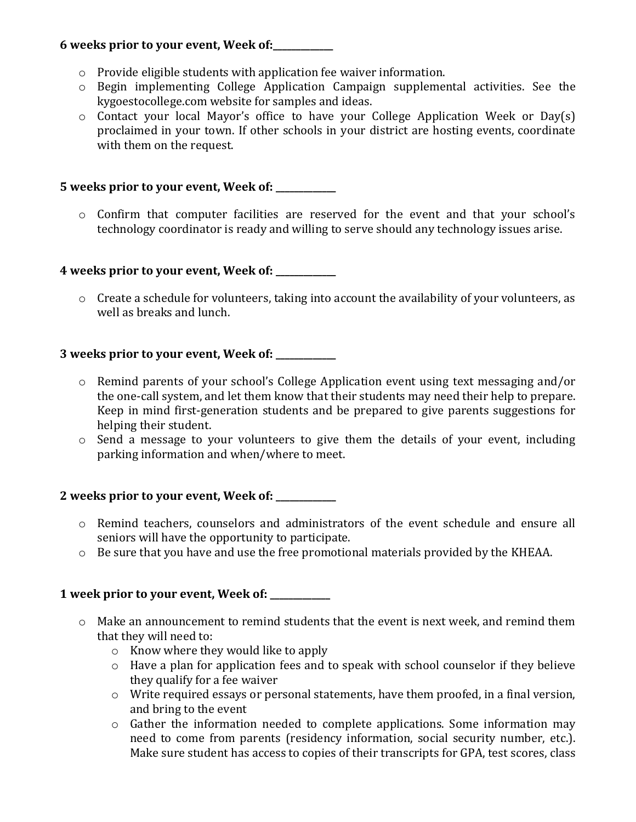## **6 weeks prior to your event, Week of:\_\_\_\_\_\_\_\_\_\_\_\_\_**

- o Provide eligible students with application fee waiver information.
- o Begin implementing College Application Campaign supplemental activities. See the kygoestocollege.com website for samples and ideas.
- o Contact your local Mayor's office to have your College Application Week or Day(s) proclaimed in your town. If other schools in your district are hosting events, coordinate with them on the request.

## **5 weeks prior to your event, Week of: \_\_\_\_\_\_\_\_\_\_\_\_\_**

o Confirm that computer facilities are reserved for the event and that your school's technology coordinator is ready and willing to serve should any technology issues arise.

#### **4 weeks prior to your event, Week of: \_\_\_\_\_\_\_\_\_\_\_\_\_**

o Create a schedule for volunteers, taking into account the availability of your volunteers, as well as breaks and lunch.

## **3 weeks prior to your event, Week of: \_\_\_\_\_\_\_\_\_\_\_\_\_**

- o Remind parents of your school's College Application event using text messaging and/or the one-call system, and let them know that their students may need their help to prepare. Keep in mind first-generation students and be prepared to give parents suggestions for helping their student.
- o Send a message to your volunteers to give them the details of your event, including parking information and when/where to meet.

# **2 weeks prior to your event, Week of: \_\_\_\_\_\_\_\_\_\_\_\_\_**

- o Remind teachers, counselors and administrators of the event schedule and ensure all seniors will have the opportunity to participate.
- $\circ$  Be sure that you have and use the free promotional materials provided by the KHEAA.

# **1 week prior to your event, Week of: \_\_\_\_\_\_\_\_\_\_\_\_\_**

- o Make an announcement to remind students that the event is next week, and remind them that they will need to:
	- o Know where they would like to apply
	- o Have a plan for application fees and to speak with school counselor if they believe they qualify for a fee waiver
	- o Write required essays or personal statements, have them proofed, in a final version, and bring to the event
	- o Gather the information needed to complete applications. Some information may need to come from parents (residency information, social security number, etc.). Make sure student has access to copies of their transcripts for GPA, test scores, class